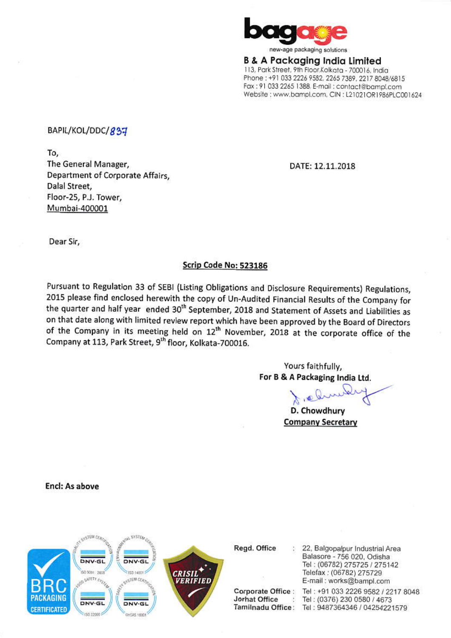

**B & A Packaging India Limited** 113, Park Street, 9th Floor, Kolkata - 700016, India Phone: +91 033 2226 9582, 2265 7389, 2217 8048/6815 Fax: 91 033 2265 1388, E-mail: contact@bampl.com Website ; www.bampl.com, CIN : L21021OR1986PLC001624

### BAPIL/KOL/DDC/837

To, The General Manager, Department of Corporate Affairs. Dalal Street, Floor-25, P.J. Tower. Mumbai-400001

DATE: 12.11.2018

Dear Sir,

### Scrip Code No: 523186

Pursuant to Regulation 33 of SEBI (Listing Obligations and Disclosure Requirements) Regulations, 2015 please find enclosed herewith the copy of Un-Audited Financial Results of the Company for the quarter and half year ended 30<sup>th</sup> September, 2018 and Statement of Assets and Liabilities as on that date along with limited review report which have been approved by the Board of Directors of the Company in its meeting held on 12<sup>th</sup> November, 2018 at the corporate office of the Company at 113, Park Street, 9<sup>th</sup> floor, Kolkata-700016.

> Yours faithfully, For B & A Packaging India Ltd.

D. Chowdhury **Company Secretary** 

Encl: As above



Regd. Office

Corporate Office: Jorhat Office  $\mathcal{L}$ 

22, Balgopalpur Industrial Area Balasore - 756 020, Odisha Tel: (06782) 275725 / 275142 Telefax: (06782) 275729 E-mail: works@bampl.com

Tel: +91 033 2226 9582 / 2217 8048 Tel: (0376) 230 0580 / 4673 Tamilnadu Office: Tel: 9487364346 / 04254221579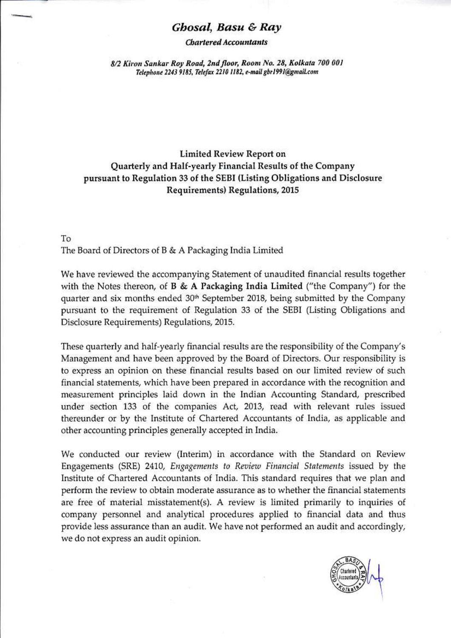### Ghosal, Basu & Ray

**Chartered Accountants** 

8/2 Kiron Sankar Roy Road, 2nd floor, Room No. 28, Kolkata 700 001 Telephone 2243 9185, Telefax 2210 1182, e-mail gbr1991@gmail.com

## **Limited Review Report on** Quarterly and Half-yearly Financial Results of the Company pursuant to Regulation 33 of the SEBI (Listing Obligations and Disclosure Requirements) Regulations, 2015

To The Board of Directors of B & A Packaging India Limited

We have reviewed the accompanying Statement of unaudited financial results together with the Notes thereon, of **B** & **A Packaging India Limited** ("the Company") for the quarter and six months ended 30<sup>th</sup> September 2018, being submitted by the Company pursuant to the requirement of Regulation 33 of the SEBI (Listing Obligations and Disclosure Requirements) Regulations, 2015.

These quarterly and half-yearly financial results are the responsibility of the Company's Management and have been approved by the Board of Directors. Our responsibility is to express an opinion on these financial results based on our limited review of such financial statements, which have been prepared in accordance with the recognition and measurement principles laid down in the Indian Accounting Standard, prescribed under section 133 of the companies Act, 2013, read with relevant rules issued thereunder or by the Institute of Chartered Accountants of India, as applicable and other accounting principles generally accepted in India.

We conducted our review (Interim) in accordance with the Standard on Review Engagements (SRE) 2410, Engagements to Review Financial Statements issued by the Institute of Chartered Accountants of India. This standard requires that we plan and perform the review to obtain moderate assurance as to whether the financial statements are free of material misstatement(s). A review is limited primarily to inquiries of company personnel and analytical procedures applied to financial data and thus provide less assurance than an audit. We have not performed an audit and accordingly, we do not express an audit opinion.

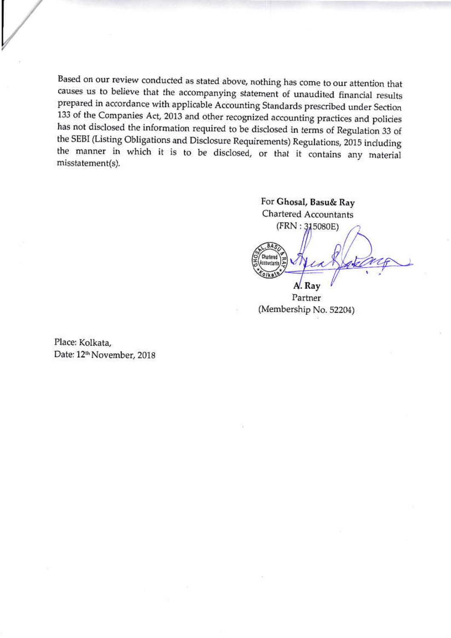Based on our review conducted as stated above, nothing has come to our attention that causes us to believe that the accompanying statement of unaudited financial results prepared in accordance with applicable Accounting Standards prescribed under Section 133 of the Companies Act, 2013 and other recognized accounting practices and policies has not disclosed the information required to be disclosed in terms of Regulation 33 of the SEBI (Listing Obligations and Disclosure Requirements) Regulations, 2015 including the manner in which it is to be disclosed, or that it contains any material misstatement(s).

For Ghosal, Basu& Ray **Chartered Accountants**  $(FRN: 315080E)$ A. Ray

Partner (Membership No. 52204)

Place: Kolkata, Date: 12<sup>th</sup> November, 2018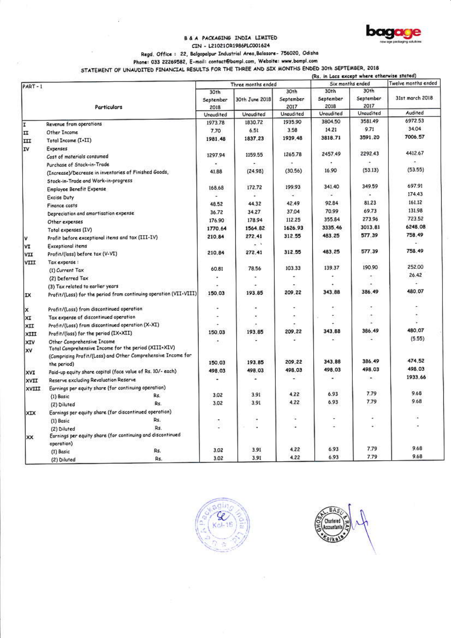# B & A PACKAGING INDIA LIMITED



CIN - L21021OR1986PLC001624

Regd. Office: 22, Balgopalpur Industrial Area, Balasore- 756020, Odisha

Phone: 033 22269582, E-mail: contact@bampl.com, Website: www.bampl.com

STATEMENT OF UNAUDITED FINANCIAL RESULTS FOR THE THREE AND SIX MONTHS ENDED 30th SEPTEMBER, 2018

|           |                                                                                    |                           |                          |                           | (Rs. in Lacs except where otherwise stated) |                           |                          |  |
|-----------|------------------------------------------------------------------------------------|---------------------------|--------------------------|---------------------------|---------------------------------------------|---------------------------|--------------------------|--|
| $PART-1$  |                                                                                    | Three months ended        |                          |                           | Six months ended                            |                           | Twelve months ended      |  |
|           | <b>Particulars</b>                                                                 | 30th<br>September<br>2018 | 30th June 2018           | 30th<br>September<br>2017 | 30th<br>September<br>2018                   | 30th<br>September<br>2017 | 31st march 2018          |  |
|           |                                                                                    | Uraudited                 | Unaudited                | <b>Unaudited</b>          | Unaudited                                   | Unaudited                 | Audited                  |  |
| I         |                                                                                    | 1973.78                   | 1830.72                  | 1935.90                   | 3804.50                                     | 3581.49                   | 6972.53                  |  |
|           | Revenue from operations                                                            | 7.70                      | 6.51                     | 3.58                      | 14.21                                       | 9.71                      | 34.04                    |  |
| ΙI        | Other Income                                                                       | 1981.48                   | 1837.23                  | 1939.48                   | 3818.71                                     | 3591.20                   | 7006.57                  |  |
| III<br>IV | Total Income (I+II)                                                                |                           |                          |                           |                                             |                           |                          |  |
|           | Expenses                                                                           | 1297.94                   | 1159.55                  | 1265.78                   | 2457.49                                     | 2292.43                   | 4412.67                  |  |
|           | Cost of materials consumed                                                         |                           |                          |                           |                                             |                           | $\overline{\phantom{a}}$ |  |
|           | Purchase of Stock-in-Trade                                                         | 41.88                     | (24.98)                  | (30.56)                   | 16.90                                       | (53.13)                   | (53.55)                  |  |
|           | (Increase)/Decrease in inventories of Finished Goods,                              |                           |                          |                           |                                             |                           |                          |  |
|           | Stock-in-Trade and Wark-in-progress                                                | 168.68                    | 172.72                   | 199.93                    | 341.40                                      | 349.59                    | 697.91                   |  |
|           | Employee Benefit Expense                                                           |                           |                          | ÷.                        | Ξ                                           |                           | 174.43                   |  |
|           | Excise Duty                                                                        | 48.52                     | 44.32                    | 42.49                     | 92.84                                       | 81.23                     | 161.12                   |  |
|           | Finance costs                                                                      |                           | 34.27                    | 37.04                     | 70.99                                       | 69.73                     | 131.98                   |  |
|           | Depreciation and amortisation expense                                              | 36.72                     | 178.94                   | 112.25                    | 355.84                                      | 273.96                    | 723.52                   |  |
|           | Other expenses                                                                     | 176.90<br>1770.64         | 1564.82                  | 1626.93                   | 3335.46                                     | 3013,81                   | 6248.08                  |  |
|           | Total expenses (IV)                                                                |                           |                          | 312.55                    | 483.25                                      | 577.39                    | 758.49                   |  |
| Iv.       | Profit before exceptional items and tax (III-IV)                                   | 210.84                    | 272.41<br>$-1$           |                           |                                             |                           | ц.                       |  |
| l٧I       | Exceptional items                                                                  |                           |                          | 312.55                    | 483.25                                      | 577.39                    | 758.49                   |  |
| VII       | Profit/(loss) before tax (V-VI)                                                    | 210.84                    | 272.41                   |                           |                                             |                           |                          |  |
| VIII      | Tax expense:                                                                       |                           | 78.56                    | 103.33                    | 139.37                                      | 190.90                    | 252.00                   |  |
|           | (1) Current Tax                                                                    | 60.81                     |                          |                           |                                             |                           | 26.42                    |  |
|           | (2) Deferred Tax                                                                   | ٠                         |                          |                           |                                             |                           | w                        |  |
|           | (3) Tax related to earlier years                                                   |                           |                          | 209.22                    | 343.88                                      | 386.49                    | 480.07                   |  |
| IX        | Profit/(Loss) for the period from continuing operation (VII-VIII)                  | 150.03                    | 193.85                   |                           |                                             |                           |                          |  |
| Ιx        | Profit/(Loss) from discontinued operation                                          | ٠                         |                          |                           |                                             | ٠                         |                          |  |
| XI        | Tax expense of discontinued operation                                              |                           |                          | ۰                         |                                             |                           |                          |  |
| XII       | Profit/(Loss) from discontinued operation (X-XI)                                   |                           |                          |                           |                                             |                           |                          |  |
| XIII      | Profit/(loss) for the period (IX+XII)                                              | 150.03                    | 193.85                   | 209,22                    | 343.88                                      | 386.49                    | 480.07                   |  |
| XIV<br>xv | Other Comprehensive Income<br>Total Comprehensive Income for the period (XIII+XIV) | ٠                         |                          |                           |                                             |                           | (5.55)                   |  |
|           | (Comprising Profit/(Loss) and Other Comprehensive Income for                       | 150.03                    | 193.85                   | 209.22                    | 343.88                                      | 386.49                    | 474.52                   |  |
|           | the period)                                                                        | 498.03                    | 49B.03                   | 498.03                    | 498.03                                      | 498.03                    | 498.03                   |  |
| XVI       | Paid-up equity share capital (face value of Rs. 10/- each)                         |                           | $\overline{\phantom{a}}$ | ÷                         | ٠                                           | ۰                         | 1933.66                  |  |
| XVII      | Reserve excluding Revaluation Reserve                                              |                           |                          |                           |                                             |                           |                          |  |
| XVIII     | Earnings per equity share (for continuing operation)<br>Rs.                        | 3.02                      | 3.91                     | 4.22                      | 6.93                                        | 7.79                      | 9.68                     |  |
|           | (1) Basic<br>Řs.                                                                   | 3.02                      | 3.91                     | 4.22                      | 6.93                                        | 7.79                      | 9.68                     |  |
|           | (2) Diluted                                                                        |                           |                          |                           |                                             |                           |                          |  |
| XIX       | Earnings per equity share (for discontinued operation)<br>Rs.                      |                           |                          | E                         |                                             |                           |                          |  |
|           | (1) Basic<br>Rs.                                                                   | ιπ,                       |                          | ٠                         |                                             |                           |                          |  |
|           | (2) Diluted<br>Earnings per equity share (for continuing and discontinued          |                           |                          |                           |                                             |                           |                          |  |
| XX        | operation)                                                                         |                           |                          |                           |                                             |                           |                          |  |
|           | Rs.<br>(1) Basic                                                                   | 3.02                      | 3.91                     | 4.22                      | 6.93                                        | 7.79                      | 9.68                     |  |
|           | Rs.<br>(2) Diluted                                                                 | 3.02                      | 3.91                     | 4.22                      | 6.93                                        | 7.79                      | 9.68                     |  |



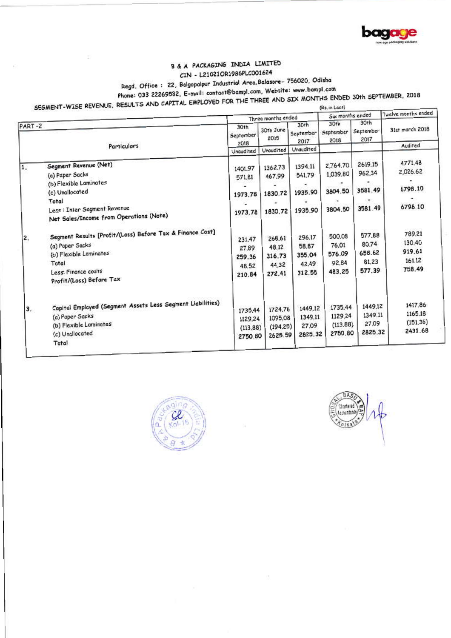

## B & A PACKAGING INDIA LIMITED CIN - L21021OR1986PLC001624

# Regd. Office: 22, Balgopalpur Industrial Area, Balasore- 756020, Odisha

Phone: 033 22269582, E-mail: contact@bampl.com, Website: www.bampl.com

SEGMENT-WISE REVENUE, RESULTS AND CAPITAL EMPLOYED FOR THE THREE AND SIX MONTHS ENDED 30th SEPTEMBER, 2018

| (Rs. in Locs) |  |  |
|---------------|--|--|
|               |  |  |

|          |                                                                                                                                                                                                                                                                                                                                                 | Three months ended                                                                      |                                                                                         |                                                                                         | Six months ended                                                                           |                                                                                         | Twelve months ended                                                                         |
|----------|-------------------------------------------------------------------------------------------------------------------------------------------------------------------------------------------------------------------------------------------------------------------------------------------------------------------------------------------------|-----------------------------------------------------------------------------------------|-----------------------------------------------------------------------------------------|-----------------------------------------------------------------------------------------|--------------------------------------------------------------------------------------------|-----------------------------------------------------------------------------------------|---------------------------------------------------------------------------------------------|
| PART-2   |                                                                                                                                                                                                                                                                                                                                                 | 30th<br>September<br>2018                                                               | 30th June<br>2018                                                                       | 30th<br>September<br>2017                                                               | 30th<br>September<br>2018                                                                  | 30th<br>September<br>2017                                                               | 31st march 2018                                                                             |
|          | <b>Particulars</b>                                                                                                                                                                                                                                                                                                                              |                                                                                         | Unaudited                                                                               | Unaudited                                                                               |                                                                                            |                                                                                         | Audited                                                                                     |
| 1.<br>2. | Segment Revenue (Net)<br>(a) Paper Sacks<br>(b) Flexible Laminates<br>(c) Unallocated<br>Total<br>Less : Inter Segment Revenue<br>Net Sales/Income from Operations (Note)<br>Segment Results [Profit/(Loss) Before Tax & Finance Cost]<br>(a) Paper Sacks<br>(b) Flexible Laminates<br>Total<br>Less: Finance costs<br>Profit/(Loss) Before Tax | 1401.97<br>571,81<br>1973.78<br>1973.78<br>231,47<br>27,89<br>259.36<br>48.52<br>210.84 | 1362.73<br>467.99<br>1830.72<br>1830.72<br>268.61<br>48.12<br>316.73<br>44.32<br>272.41 | 1394.11<br>541.79<br>1935.90<br>1935.90<br>296.17<br>58.87<br>355.04<br>42.49<br>312.55 | 2,764,70<br>1,039.80<br>3804.50<br>3804.50<br>500.08<br>76.01<br>576.09<br>92.84<br>483.25 | 2619.15<br>962,34<br>3581.49<br>3581.49<br>577,88<br>80.74<br>658.62<br>81.23<br>577.39 | 4771.48<br>2,026.62<br>6798.10<br>6798.10<br>789.21<br>130.40<br>919.61<br>161.12<br>758.49 |
| 3.       | Capital Employed (Segment Assets Less Segment Liabilities)<br>(a) Paper Sacks<br>(b) Flexible Laminates<br>(c) Unallocated<br>Total                                                                                                                                                                                                             | 1735.44<br>1129.24<br>(113.88)<br>2750.80                                               | 1724,76<br>1095.08<br>(194.25)<br>2625.59                                               | 1449.12<br>1349.11<br>27.09<br>2825.32                                                  | 1735.44<br>1129.24<br>(113.88)<br>2750.80                                                  | 1449.12<br>1349.11<br>27.09<br>2825.32                                                  | 1417,86<br>1165.18<br>(151.36)<br>2431.68                                                   |



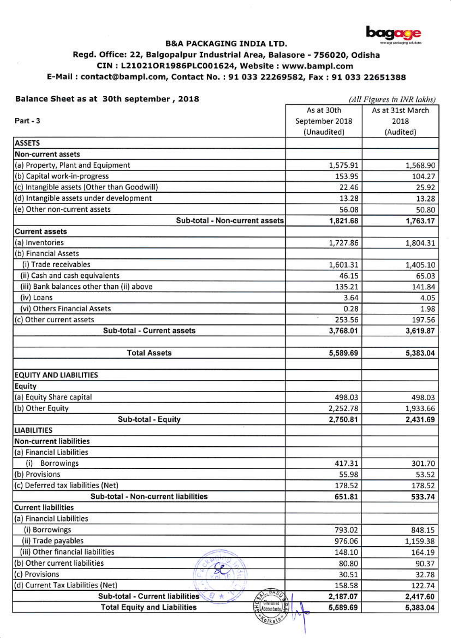

### **B&A PACKAGING INDIA LTD.**

## Regd. Office: 22, Balgopalpur Industrial Area, Balasore - 756020, Odisha CIN: L21021OR1986PLC001624, Website: www.bampl.com E-Mail: contact@bampl.com, Contact No.: 91 033 22269582, Fax: 91 033 22651388

### Balance Sheet as at 30th september, 2018

(All Figures in INR lakhs)

| As at 30th                                           | As at 31st March                                                                  |  |
|------------------------------------------------------|-----------------------------------------------------------------------------------|--|
| September 2018                                       | 2018                                                                              |  |
| (Unaudited)                                          | (Audited)                                                                         |  |
|                                                      |                                                                                   |  |
|                                                      |                                                                                   |  |
| 1,575.91                                             | 1,568.90                                                                          |  |
| 153.95                                               | 104.27                                                                            |  |
| 22.46                                                | 25.92                                                                             |  |
| 13.28                                                | 13.28                                                                             |  |
| 56.08                                                | 50.80                                                                             |  |
| 1,821.68                                             | 1,763.17                                                                          |  |
|                                                      |                                                                                   |  |
| 1,727.86                                             | 1,804.31                                                                          |  |
|                                                      |                                                                                   |  |
| 1,601.31                                             | 1,405.10                                                                          |  |
| 46.15                                                | 65.03                                                                             |  |
| 135.21                                               | 141.84                                                                            |  |
| 3.64                                                 | 4.05                                                                              |  |
| 0.28                                                 | 1.98                                                                              |  |
| ×<br>253.56                                          | 197.56                                                                            |  |
| 3,768.01                                             | 3,619.87                                                                          |  |
|                                                      |                                                                                   |  |
| 5,589.69                                             | 5,383.04                                                                          |  |
|                                                      |                                                                                   |  |
|                                                      |                                                                                   |  |
|                                                      | 498.03                                                                            |  |
|                                                      | 1,933.66                                                                          |  |
|                                                      | 2,431.69                                                                          |  |
|                                                      |                                                                                   |  |
|                                                      |                                                                                   |  |
|                                                      |                                                                                   |  |
| 417.31                                               | 301.70                                                                            |  |
| 55.98                                                | 53.52                                                                             |  |
| 178.52                                               | 178.52                                                                            |  |
| 651.81                                               | 533.74                                                                            |  |
|                                                      |                                                                                   |  |
|                                                      |                                                                                   |  |
|                                                      | 848.15                                                                            |  |
|                                                      | 1,159.38                                                                          |  |
| 148.10                                               | 164.19                                                                            |  |
| 80.80                                                | 90.37                                                                             |  |
|                                                      | 32.78                                                                             |  |
|                                                      | 122.74                                                                            |  |
|                                                      | 2,417.60                                                                          |  |
| $\left(\frac{1}{2}\right)$ (Accountants)<br>5,589.69 | 5,383.04                                                                          |  |
|                                                      | 498.03<br>2,252.78<br>2,750.81<br>793.02<br>976.06<br>30.51<br>158.58<br>2,187.07 |  |